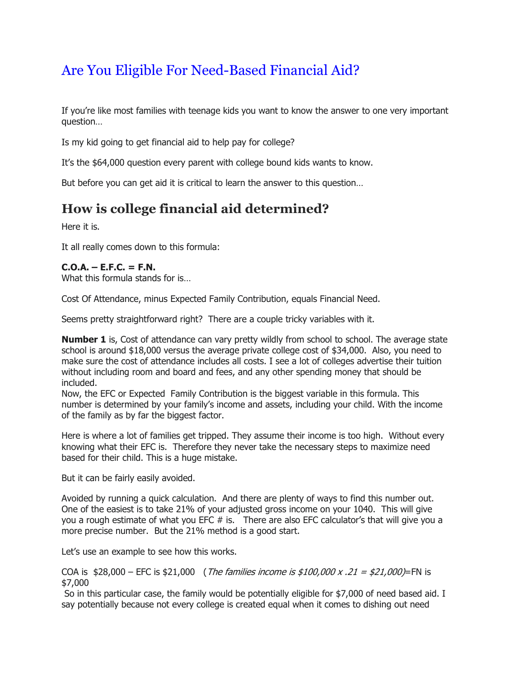## Are You Eligible For Need-Based Financial Aid?

If you're like most families with teenage kids you want to know the answer to one very important question…

Is my kid going to get financial aid to help pay for college?

It's the \$64,000 question every parent with college bound kids wants to know.

But before you can get aid it is critical to learn the answer to this question…

## **How is college financial aid determined?**

Here it is.

It all really comes down to this formula:

## **C.O.A. – E.F.C. = F.N.**

What this formula stands for is…

Cost Of Attendance, minus Expected Family Contribution, equals Financial Need.

Seems pretty straightforward right? There are a couple tricky variables with it.

**Number 1** is, Cost of attendance can vary pretty wildly from school to school. The average state school is around \$18,000 versus the average private college cost of \$34,000. Also, you need to make sure the cost of attendance includes all costs. I see a lot of colleges advertise their tuition without including room and board and fees, and any other spending money that should be included.

Now, the EFC or Expected Family Contribution is the biggest variable in this formula. This number is determined by your family's income and assets, including your child. With the income of the family as by far the biggest factor.

Here is where a lot of families get tripped. They assume their income is too high. Without every knowing what their EFC is. Therefore they never take the necessary steps to maximize need based for their child. This is a huge mistake.

But it can be fairly easily avoided.

Avoided by running a quick calculation. And there are plenty of ways to find this number out. One of the easiest is to take 21% of your adjusted gross income on your 1040. This will give you a rough estimate of what you EFC # is. There are also EFC calculator's that will give you a more precise number. But the 21% method is a good start.

Let's use an example to see how this works.

COA is  $$28,000 - EFC$  is  $$21,000$  (*The families income is \$100,000 x .21 = \$21,000*)=FN is \$7,000

So in this particular case, the family would be potentially eligible for \$7,000 of need based aid. I say potentially because not every college is created equal when it comes to dishing out need